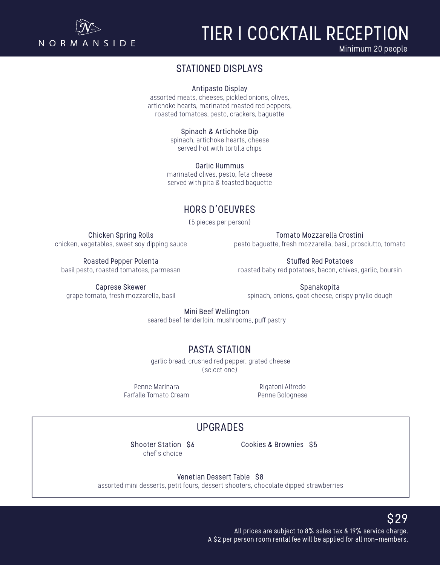

# TIER I COCKTAIL RECEPTION

Minimum 20 people

### STATIONED DISPLAYS

Antipasto Display

assorted meats, cheeses, pickled onions, olives, artichoke hearts, marinated roasted red peppers, roasted tomatoes, pesto, crackers, baguette

> Spinach & Artichoke Dip spinach, artichoke hearts, cheese served hot with tortilla chips

Garlic Hummus marinated olives, pesto, feta cheese served with pita & toasted baguette

## HORS D'OEUVRES

(5 pieces per person)

Chicken Spring Rolls chicken, vegetables, sweet soy dipping sauce

Tomato Mozzarella Crostini pesto baguette, fresh mozzarella, basil, prosciutto, tomato

Roasted Pepper Polenta basil pesto, roasted tomatoes, parmesan

Stuffed Red Potatoes roasted baby red potatoes, bacon, chives, garlic, boursin

Caprese Skewer grape tomato, fresh mozzarella, basil

Spanakopita spinach, onions, goat cheese, crispy phyllo dough

Mini Beef Wellington

seared beef tenderloin, mushrooms, puff pastry

# PASTA STATION

 garlic bread, crushed red pepper, grated cheese (select one)

Penne Marinara Farfalle Tomato Cream

Rigatoni Alfredo Penne Bolognese

# UPGRADES

Shooter Station \$6 chef's choice

Cookies & Brownies \$5

Venetian Dessert Table \$8

assorted mini desserts, petit fours, dessert shooters, chocolate dipped strawberries